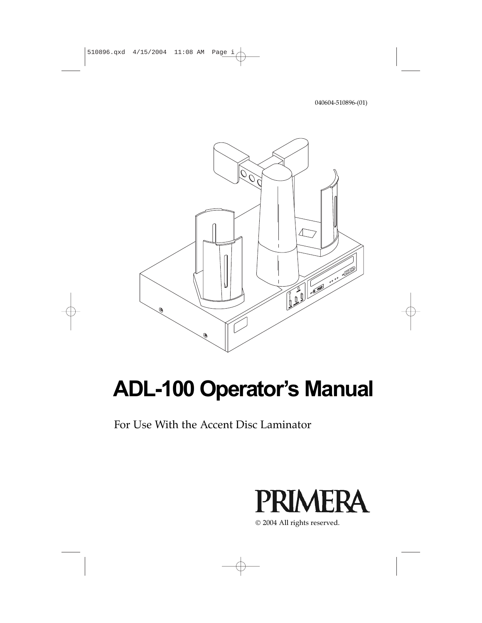040604-510896-(01)



# **ADL-100 Operator's Manual**

For Use With the Accent Disc Laminator



2004 All rights reserved.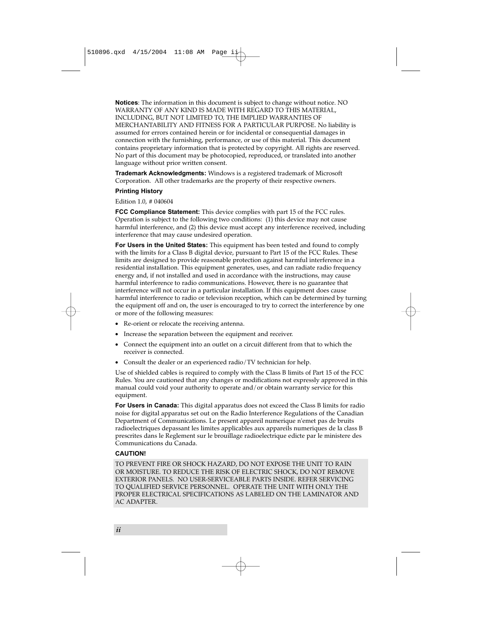**Notices**: The information in this document is subject to change without notice. NO WARRANTY OF ANY KIND IS MADE WITH REGARD TO THIS MATERIAL, INCLUDING, BUT NOT LIMITED TO, THE IMPLIED WARRANTIES OF MERCHANTABILITY AND FITNESS FOR A PARTICULAR PURPOSE. No liability is assumed for errors contained herein or for incidental or consequential damages in connection with the furnishing, performance, or use of this material. This document contains proprietary information that is protected by copyright. All rights are reserved. No part of this document may be photocopied, reproduced, or translated into another language without prior written consent.

**Trademark Acknowledgments:** Windows is a registered trademark of Microsoft Corporation. All other trademarks are the property of their respective owners.

#### **Printing History**

#### Edition 1.0, # 040604

**FCC Compliance Statement:** This device complies with part 15 of the FCC rules. Operation is subject to the following two conditions: (1) this device may not cause harmful interference, and (2) this device must accept any interference received, including interference that may cause undesired operation.

**For Users in the United States:** This equipment has been tested and found to comply with the limits for a Class B digital device, pursuant to Part 15 of the FCC Rules. These limits are designed to provide reasonable protection against harmful interference in a residential installation. This equipment generates, uses, and can radiate radio frequency energy and, if not installed and used in accordance with the instructions, may cause harmful interference to radio communications. However, there is no guarantee that interference will not occur in a particular installation. If this equipment does cause harmful interference to radio or television reception, which can be determined by turning the equipment off and on, the user is encouraged to try to correct the interference by one or more of the following measures:

- Re-orient or relocate the receiving antenna.
- Increase the separation between the equipment and receiver.
- Connect the equipment into an outlet on a circuit different from that to which the receiver is connected.
- Consult the dealer or an experienced radio/TV technician for help.

Use of shielded cables is required to comply with the Class B limits of Part 15 of the FCC Rules. You are cautioned that any changes or modifications not expressly approved in this manual could void your authority to operate and/or obtain warranty service for this equipment.

**For Users in Canada:** This digital apparatus does not exceed the Class B limits for radio noise for digital apparatus set out on the Radio Interference Regulations of the Canadian Department of Communications. Le present appareil numerique n'emet pas de bruits radioelectriques depassant les limites applicables aux appareils numeriques de la class B prescrites dans le Reglement sur le brouillage radioelectrique edicte par le ministere des Communications du Canada.

#### **CAUTION!**

TO PREVENT FIRE OR SHOCK HAZARD, DO NOT EXPOSE THE UNIT TO RAIN OR MOISTURE. TO REDUCE THE RISK OF ELECTRIC SHOCK, DO NOT REMOVE EXTERIOR PANELS. NO USER-SERVICEABLE PARTS INSIDE. REFER SERVICING TO QUALIFIED SERVICE PERSONNEL. OPERATE THE UNIT WITH ONLY THE PROPER ELECTRICAL SPECIFICATIONS AS LABELED ON THE LAMINATOR AND AC ADAPTER.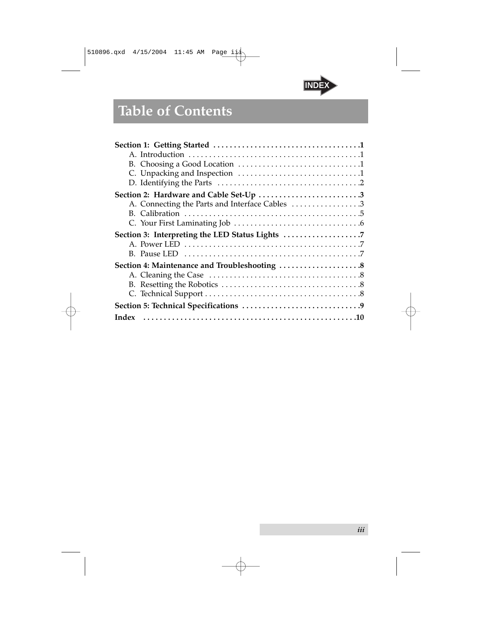

# **Table of Contents**

| A. Connecting the Parts and Interface Cables 3 |
|------------------------------------------------|
|                                                |
|                                                |
| Section 3: Interpreting the LED Status Lights  |
|                                                |
|                                                |
| Section 4: Maintenance and Troubleshooting 8   |
|                                                |
|                                                |
|                                                |
|                                                |
| Index                                          |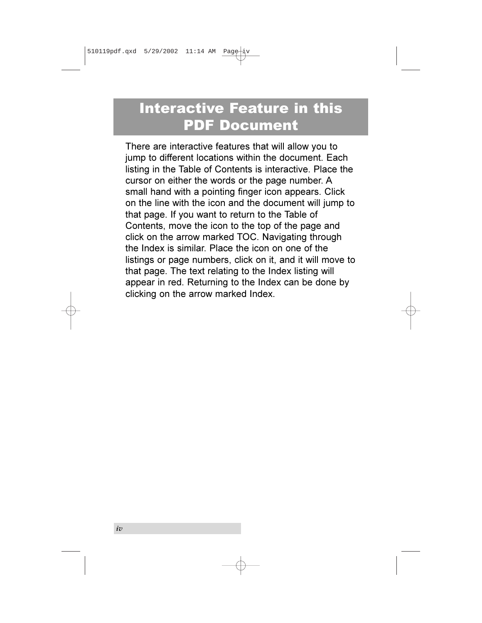### Interactive Feature in this PDF Document

There are interactive features that will allow you to jump to different locations within the document. Each listing in the Table of Contents is interactive. Place the cursor on either the words or the page number. A small hand with a pointing finger icon appears. Click on the line with the icon and the document will jump to that page. If you want to return to the Table of Contents, move the icon to the top of the page and click on the arrow marked TOC. Navigating through the Index is similar. Place the icon on one of the listings or page numbers, click on it, and it will move to that page. The text relating to the Index listing will appear in red. Returning to the Index can be done by clicking on the arrow marked Index.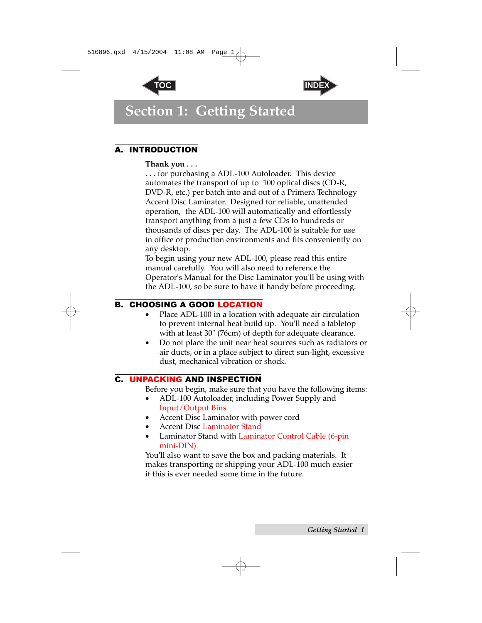



### <span id="page-4-1"></span><span id="page-4-0"></span>**Section 1: Getting Started**

#### A. INTRODUCTION

#### **Thank you . . .**

. . . for purchasing a ADL-100 Autoloader. This device automates the transport of up to 100 optical discs (CD-R, DVD-R, etc.) per batch into and out of a Primera Technology Accent Disc Laminator. Designed for reliable, unattended operation, the ADL-100 will automatically and effortlessly transport anything from a just a few CDs to hundreds or thousands of discs per day. The ADL-100 is suitable for use in office or production environments and fits conveniently on any desktop.

To begin using your new ADL-100, please read this entire manual carefully. You will also need to reference the Operator's Manual for the Disc Laminator you'll be using with the ADL-100, so be sure to have it handy before proceeding.

#### B. CHOOSING A GOOD LOCATION

- Place ADL-100 in a location with adequate air circulation to prevent internal heat build up. You'll need a tabletop with at least 30" (76cm) of depth for adequate clearance.
- Do not place the unit near heat sources such as radiators or air ducts, or in a place subject to direct sun-light, excessive dust, mechanical vibration or shock.

#### C. UNPACKING AND INSPECTION

Before you begin, make sure that you have the following items:

- ADL-100 Autoloader, including Power Supply and Input/Output Bins
- Accent Disc Laminator with power cord
- Accent Disc Laminator Stand
- Laminator Stand with Laminator Control Cable (6-pin mini-DIN)

You'll also want to save the box and packing materials. It makes transporting or shipping your ADL-100 much easier if this is ever needed some time in the future.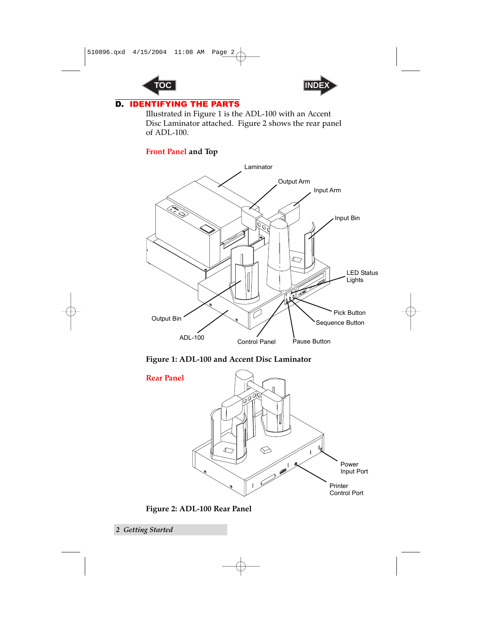



#### <span id="page-5-0"></span>D. IDENTIFYING THE PARTS

Illustrated in Figure 1 is the ADL-100 with an Accent Disc Laminator attached. Figure 2 shows the rear panel of ADL-100.

#### **Front Panel and Top**



**Figure 1: ADL-100 and Accent Disc Laminator**



**Figure 2: ADL-100 Rear Panel**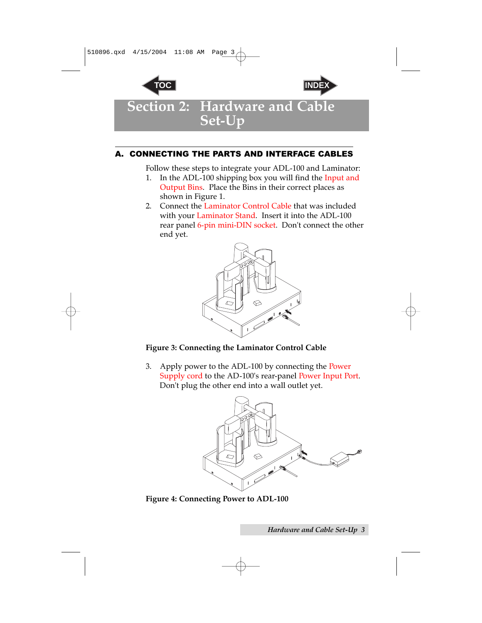<span id="page-6-0"></span>



**Section 2: Hardware and Cable Set-Up**

#### A. CONNECTING THE PARTS AND INTERFACE CABLES

Follow these steps to integrate your ADL-100 and Laminator:

- 1. In the ADL-100 shipping box you will find the Input and Output Bins. Place the Bins in their correct places as shown in Figure 1.
- 2. Connect the Laminator Control Cable that was included with your Laminator Stand. Insert it into the ADL-100 rear panel 6-pin mini-DIN socket. Don't connect the other end yet.



#### **Figure 3: Connecting the Laminator Control Cable**

3. Apply power to the ADL-100 by connecting the Power Supply cord to the AD-100's rear-panel Power Input Port. Don't plug the other end into a wall outlet yet.



**Figure 4: Connecting Power to ADL-100**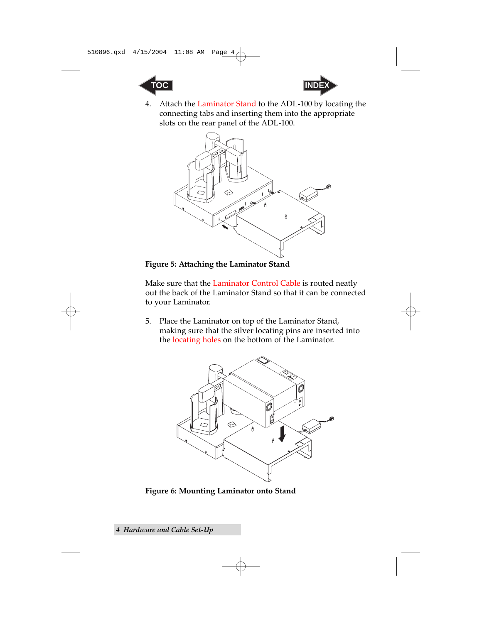<span id="page-7-0"></span>



4. Attach the Laminator Stand to the ADL-100 by locating the connecting tabs and inserting them into the appropriate slots on the rear panel of the ADL-100.



**Figure 5: Attaching the Laminator Stand**

Make sure that the Laminator Control Cable is routed neatly out the back of the Laminator Stand so that it can be connected to your Laminator.

5. Place the Laminator on top of the Laminator Stand, making sure that the silver locating pins are inserted into the locating holes on the bottom of the Laminator.



**Figure 6: Mounting Laminator onto Stand**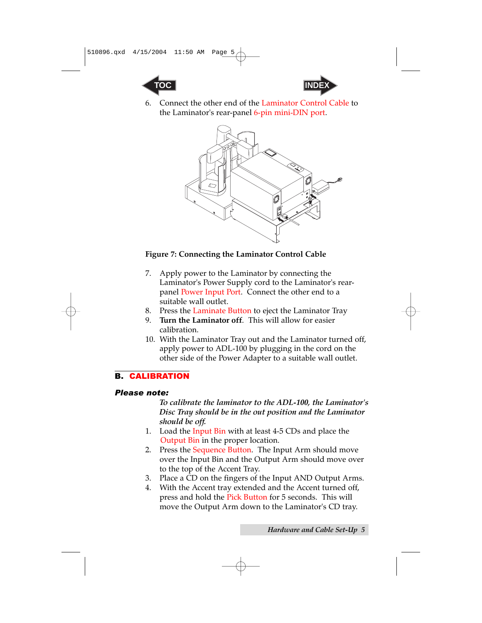<span id="page-8-0"></span>



6. Connect the other end of the Laminator Control Cable to the Laminator's rear-panel 6-pin mini-DIN port.



#### **Figure 7: Connecting the Laminator Control Cable**

- 7. Apply power to the Laminator by connecting the Laminator's Power Supply cord to the Laminator's rearpanel Power Input Port. Connect the other end to a suitable wall outlet.
- 8. Press the Laminate Button to eject the Laminator Tray
- 9. **Turn the Laminator off**. This will allow for easier calibration.
- 10. With the Laminator Tray out and the Laminator turned off, apply power to ADL-100 by plugging in the cord on the other side of the Power Adapter to a suitable wall outlet.

#### B. CALIBRATION

#### *Please note:*

*To calibrate the laminator to the ADL-100, the Laminator's Disc Tray should be in the out position and the Laminator should be off.* 

- 1. Load the Input Bin with at least 4-5 CDs and place the Output Bin in the proper location.
- 2. Press the Sequence Button. The Input Arm should move over the Input Bin and the Output Arm should move over to the top of the Accent Tray.
- 3. Place a CD on the fingers of the Input AND Output Arms.
- 4. With the Accent tray extended and the Accent turned off, press and hold the Pick Button for 5 seconds. This will move the Output Arm down to the Laminator's CD tray.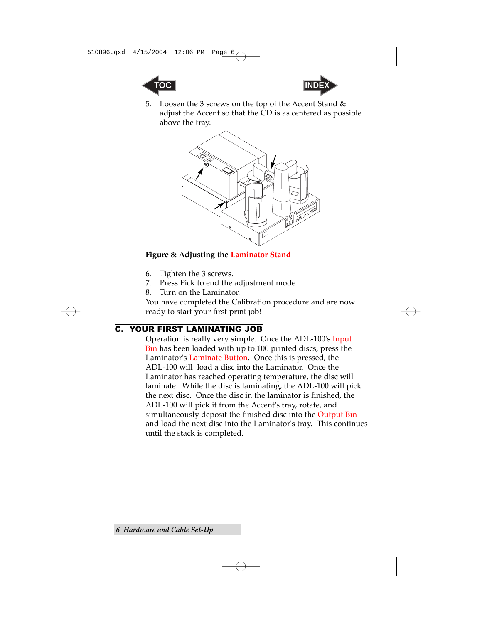<span id="page-9-0"></span>



5. Loosen the 3 screws on the top of the Accent Stand & adjust the Accent so that the CD is as centered as possible above the tray.



#### **Figure 8: Adjusting the Laminator Stand**

- 6. Tighten the 3 screws.
- 7. Press Pick to end the adjustment mode
- 8. Turn on the Laminator.

You have completed the Calibration procedure and are now ready to start your first print job!

#### C. YOUR FIRST LAMINATING JOB

Operation is really very simple. Once the ADL-100's Input Bin has been loaded with up to 100 printed discs, press the Laminator's Laminate Button. Once this is pressed, the ADL-100 will load a disc into the Laminator. Once the Laminator has reached operating temperature, the disc will laminate. While the disc is laminating, the ADL-100 will pick the next disc. Once the disc in the laminator is finished, the ADL-100 will pick it from the Accent's tray, rotate, and simultaneously deposit the finished disc into the Output Bin and load the next disc into the Laminator's tray. This continues until the stack is completed.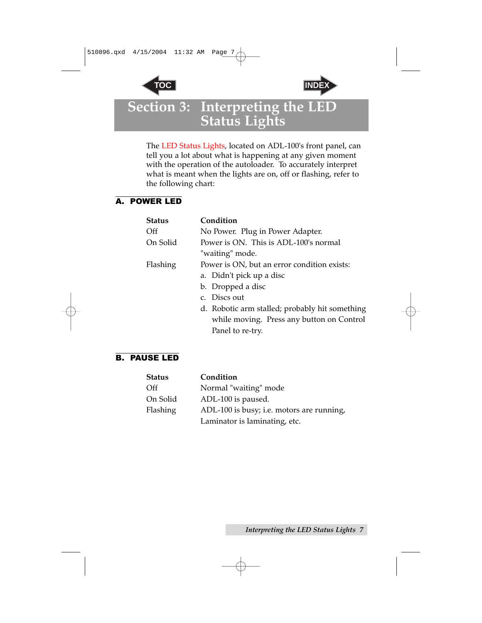



### <span id="page-10-0"></span>**Section 3: Interpreting the LED Status Lights**

The LED Status Lights, located on ADL-100's front panel, can tell you a lot about what is happening at any given moment with the operation of the autoloader. To accurately interpret what is meant when the lights are on, off or flashing, refer to the following chart:

#### A. POWER LED

| <b>Status</b> | Condition                                      |
|---------------|------------------------------------------------|
| Off           | No Power. Plug in Power Adapter.               |
| On Solid      | Power is ON. This is ADL-100's normal          |
|               | "waiting" mode.                                |
| Flashing      | Power is ON, but an error condition exists:    |
|               | a. Didn't pick up a disc                       |
|               | b. Dropped a disc                              |
|               | c. Discs out                                   |
|               | d. Robotic arm stalled; probably hit something |
|               | while moving. Press any button on Control      |
|               | Panel to re-try.                               |

#### B. PAUSE LED

| <b>Status</b> | Condition                                 |
|---------------|-------------------------------------------|
| Off           | Normal "waiting" mode                     |
| On Solid      | ADL-100 is paused.                        |
| Flashing      | ADL-100 is busy; i.e. motors are running, |
|               | Laminator is laminating, etc.             |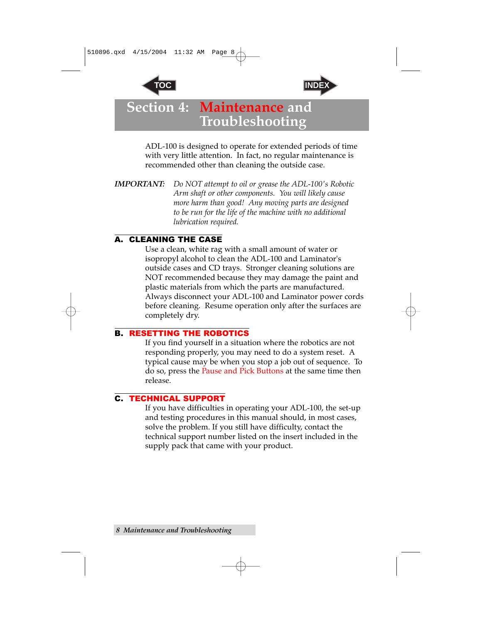



### <span id="page-11-0"></span>**Section 4: Maintenance and Troubleshooting**

ADL-100 is designed to operate for extended periods of time with very little attention. In fact, no regular maintenance is recommended other than cleaning the outside case.

*IMPORTANT: Do NOT attempt to oil or grease the ADL-100's Robotic Arm shaft or other components. You will likely cause more harm than good! Any moving parts are designed to be run for the life of the machine with no additional lubrication required.*

#### A. CLEANING THE CASE

Use a clean, white rag with a small amount of water or isopropyl alcohol to clean the ADL-100 and Laminator's outside cases and CD trays. Stronger cleaning solutions are NOT recommended because they may damage the paint and plastic materials from which the parts are manufactured. Always disconnect your ADL-100 and Laminator power cords before cleaning. Resume operation only after the surfaces are completely dry.

#### B. RESETTING THE ROBOTICS

If you find yourself in a situation where the robotics are not responding properly, you may need to do a system reset. A typical cause may be when you stop a job out of sequence. To do so, press the Pause and Pick Buttons at the same time then release.

#### C. TECHNICAL SUPPORT

If you have difficulties in operating your ADL-100, the set-up and testing procedures in this manual should, in most cases, solve the problem. If you still have difficulty, contact the technical support number listed on the insert included in the supply pack that came with your product.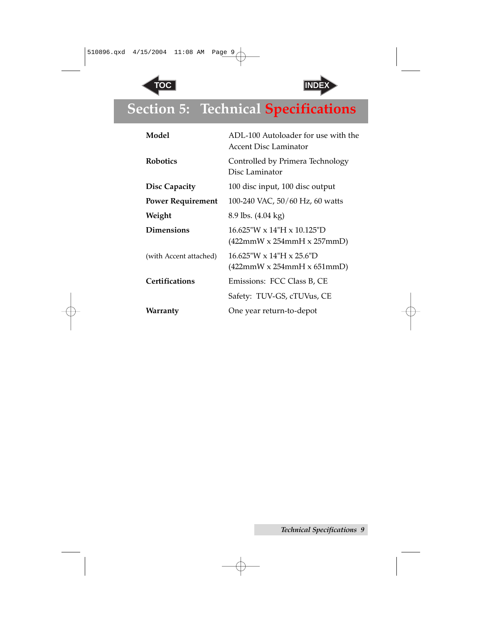



## <span id="page-12-0"></span>**Section 5: Technical Specifications**

| Model                    | ADL-100 Autoloader for use with the<br><b>Accent Disc Laminator</b>           |
|--------------------------|-------------------------------------------------------------------------------|
| <b>Robotics</b>          | Controlled by Primera Technology<br>Disc Laminator                            |
| <b>Disc Capacity</b>     | 100 disc input, 100 disc output                                               |
| <b>Power Requirement</b> | 100-240 VAC, 50/60 Hz, 60 watts                                               |
| Weight                   | 8.9 lbs. (4.04 kg)                                                            |
| <b>Dimensions</b>        | $16.625$ "W x $14$ "H x $10.125$ "D<br>$(422mmW \times 254mmH \times 257mmD)$ |
| (with Accent attached)   | $16.625$ "W x $14$ "H x $25.6$ "D<br>$(422mmW \times 254mmH \times 651mmD)$   |
| <b>Certifications</b>    | Emissions: FCC Class B, CE                                                    |
|                          | Safety: TUV-GS, cTUVus, CE                                                    |
| Warranty                 | One year return-to-depot                                                      |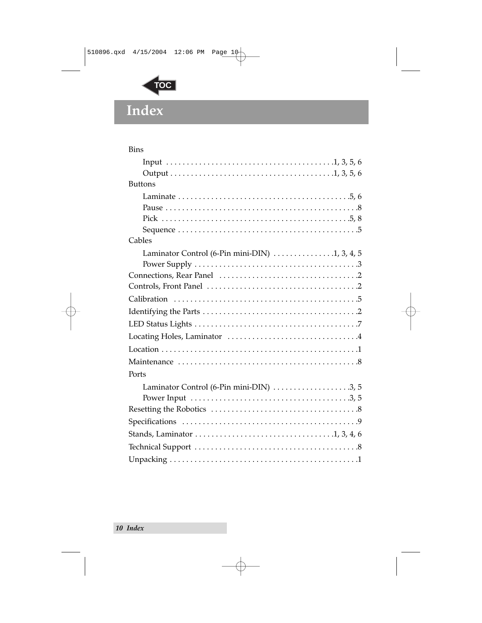<span id="page-13-0"></span>

### **Index**

| <b>Bins</b>                                                                           |
|---------------------------------------------------------------------------------------|
|                                                                                       |
|                                                                                       |
| <b>Buttons</b>                                                                        |
|                                                                                       |
|                                                                                       |
|                                                                                       |
|                                                                                       |
| Cables                                                                                |
| Laminator Control (6-Pin mini-DIN) $\dots \dots \dots \dots \dots$                    |
|                                                                                       |
|                                                                                       |
|                                                                                       |
|                                                                                       |
|                                                                                       |
|                                                                                       |
|                                                                                       |
|                                                                                       |
| Ports                                                                                 |
| Laminator Control (6-Pin mini-DIN) $\ldots \ldots \ldots \ldots \ldots \ldots$        |
|                                                                                       |
|                                                                                       |
| Stands, Laminator $\dots\dots\dots\dots\dots\dots\dots\dots\dots\dots\dots\dots\dots$ |
|                                                                                       |
|                                                                                       |